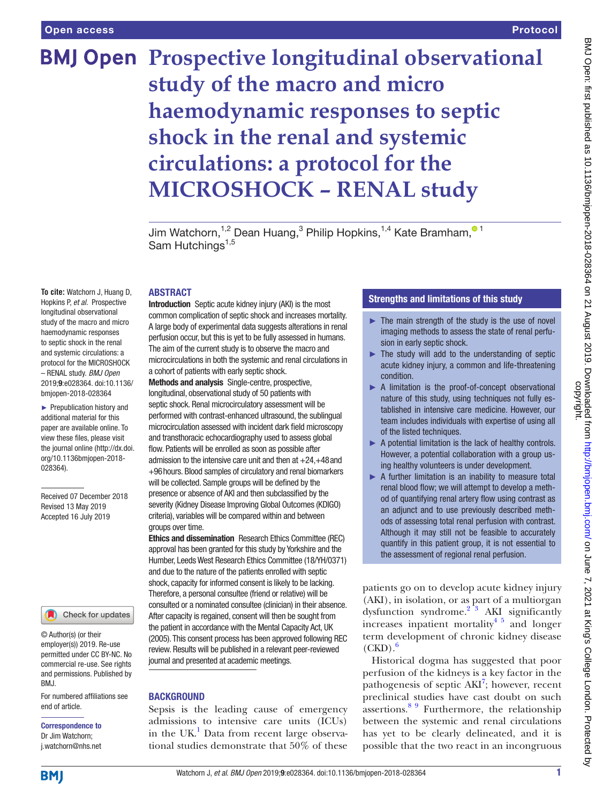## Protocol

# **BMJ Open Prospective longitudinal observational study of the macro and micro haemodynamic responses to septic shock in the renal and systemic circulations: a protocol for the MICROSHOCK – RENAL study**

Jim Watchorn[,](http://orcid.org/0000-0002-6272-7921)<sup>1,2</sup> Dean Huang,<sup>3</sup> Philip Hopkins,<sup>1,4</sup> Kate Bramham,<sup>01</sup> Sam Hutchings<sup>1,5</sup>

#### **ABSTRACT**

**To cite:** Watchorn J, Huang D, Hopkins P, *et al*. Prospective longitudinal observational study of the macro and micro haemodynamic responses to septic shock in the renal and systemic circulations: a protocol for the MICROSHOCK – RENAL study. *BMJ Open* 2019;9:e028364. doi:10.1136/ bmjopen-2018-028364

► Prepublication history and additional material for this paper are available online. To view these files, please visit the journal online [\(http://dx.doi.](http://dx.doi.org/10.1136bmjopen-2018-028364) [org/10.1136bmjopen-2018-](http://dx.doi.org/10.1136bmjopen-2018-028364) [028364\)](http://dx.doi.org/10.1136bmjopen-2018-028364).

Received 07 December 2018 Revised 13 May 2019 Accepted 16 July 2019



© Author(s) (or their employer(s)) 2019. Re-use permitted under CC BY-NC. No commercial re-use. See rights and permissions. Published by BMJ.

For numbered affiliations see end of article.

Correspondence to Dr Jim Watchorn; j.watchorn@nhs.net

Introduction Septic acute kidney injury (AKI) is the most common complication of septic shock and increases mortality. A large body of experimental data suggests alterations in renal perfusion occur, but this is yet to be fully assessed in humans. The aim of the current study is to observe the macro and microcirculations in both the systemic and renal circulations in a cohort of patients with early septic shock.

Methods and analysis Single-centre, prospective, longitudinal, observational study of 50 patients with septic shock. Renal microcirculatory assessment will be performed with contrast-enhanced ultrasound, the sublingual microcirculation assessed with incident dark field microscopy and transthoracic echocardiography used to assess global flow. Patients will be enrolled as soon as possible after admission to the intensive care unit and then at +24,+48and +96hours. Blood samples of circulatory and renal biomarkers will be collected. Sample groups will be defined by the presence or absence of AKI and then subclassified by the severity (Kidney Disease Improving Global Outcomes (KDIGO) criteria), variables will be compared within and between groups over time.

Ethics and dissemination Research Ethics Committee (REC) approval has been granted for this study by Yorkshire and the Humber, Leeds West Research Ethics Committee (18/YH/0371) and due to the nature of the patients enrolled with septic shock, capacity for informed consent is likely to be lacking. Therefore, a personal consultee (friend or relative) will be consulted or a nominated consultee (clinician) in their absence. After capacity is regained, consent will then be sought from the patient in accordance with the Mental Capacity Act, UK (2005). This consent process has been approved following REC review. Results will be published in a relevant peer-reviewed journal and presented at academic meetings.

#### **BACKGROUND**

Sepsis is the leading cause of emergency admissions to intensive care units (ICUs) in the UK.<sup>[1](#page-5-0)</sup> Data from recent large observational studies demonstrate that 50% of these

# Strengths and limitations of this study

- $\blacktriangleright$  The main strength of the study is the use of novel imaging methods to assess the state of renal perfusion in early septic shock.
- $\blacktriangleright$  The study will add to the understanding of septic acute kidney injury, a common and life-threatening condition.
- ▶ A limitation is the proof-of-concept observational nature of this study, using techniques not fully established in intensive care medicine. However, our team includes individuals with expertise of using all of the listed techniques.
- ▶ A potential limitation is the lack of healthy controls. However, a potential collaboration with a group using healthy volunteers is under development.
- $\blacktriangleright$  A further limitation is an inability to measure total renal blood flow; we will attempt to develop a method of quantifying renal artery flow using contrast as an adjunct and to use previously described methods of assessing total renal perfusion with contrast. Although it may still not be feasible to accurately quantify in this patient group, it is not essential to the assessment of regional renal perfusion.

patients go on to develop acute kidney injury (AKI), in isolation, or as part of a multiorgan dysfunction syndrome. $2^{3}$  AKI significantly increases inpatient mortality<sup>[4 5](#page-5-2)</sup> and longer term development of chronic kidney disease  $(CKD)$ .

Historical dogma has suggested that poor perfusion of the kidneys is a key factor in the pathogenesis of septic  $AKI^7$  $AKI^7$ ; however, recent preclinical studies have cast doubt on such  $\arcsin 88^\circ$  Furthermore, the relationship between the systemic and renal circulations has yet to be clearly delineated, and it is possible that the two react in an incongruous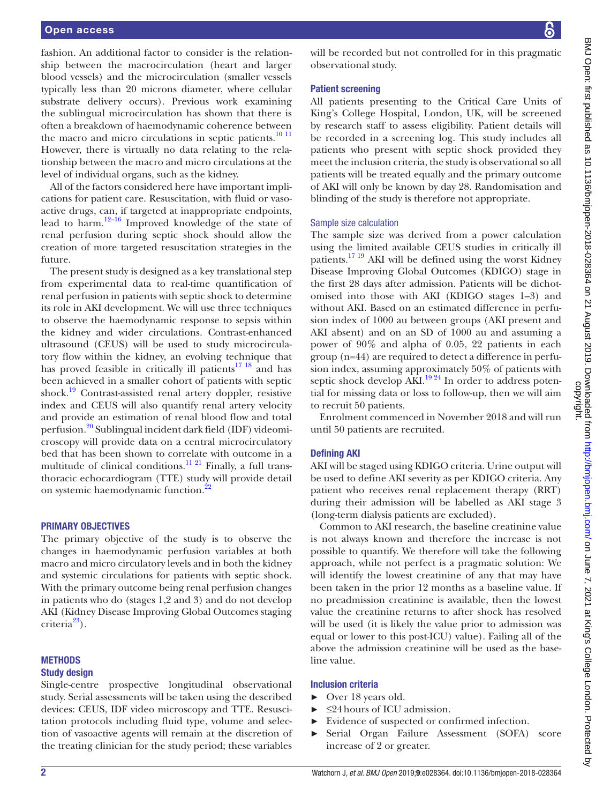fashion. An additional factor to consider is the relationship between the macrocirculation (heart and larger blood vessels) and the microcirculation (smaller vessels typically less than 20 microns diameter, where cellular substrate delivery occurs). Previous work examining the sublingual microcirculation has shown that there is often a breakdown of haemodynamic coherence between the macro and micro circulations in septic patients. $10<sup>11</sup>$ However, there is virtually no data relating to the relationship between the macro and micro circulations at the level of individual organs, such as the kidney.

All of the factors considered here have important implications for patient care. Resuscitation, with fluid or vasoactive drugs, can, if targeted at inappropriate endpoints, lead to harm.[12–16](#page-5-7) Improved knowledge of the state of renal perfusion during septic shock should allow the creation of more targeted resuscitation strategies in the future.

The present study is designed as a key translational step from experimental data to real-time quantification of renal perfusion in patients with septic shock to determine its role in AKI development. We will use three techniques to observe the haemodynamic response to sepsis within the kidney and wider circulations. Contrast-enhanced ultrasound (CEUS) will be used to study microcirculatory flow within the kidney, an evolving technique that has proved feasible in critically ill patients $17 \frac{18}{18}$  and has been achieved in a smaller cohort of patients with septic shock.[19](#page-6-1) Contrast-assisted renal artery doppler, resistive index and CEUS will also quantify renal artery velocity and provide an estimation of renal blood flow and total perfusion[.20](#page-6-2) Sublingual incident dark field (IDF) videomicroscopy will provide data on a central microcirculatory bed that has been shown to correlate with outcome in a multitude of clinical conditions.<sup>11 21</sup> Finally, a full transthoracic echocardiogram (TTE) study will provide detail on systemic haemodynamic function.<sup>22</sup>

#### Primary objectives

The primary objective of the study is to observe the changes in haemodynamic perfusion variables at both macro and micro circulatory levels and in both the kidney and systemic circulations for patients with septic shock. With the primary outcome being renal perfusion changes in patients who do (stages 1,2 and 3) and do not develop AKI (Kidney Disease Improving Global Outcomes staging  $criterion<sup>23</sup>$ ).

#### **METHODS**

#### Study design

Single-centre prospective longitudinal observational study. Serial assessments will be taken using the described devices: CEUS, IDF video microscopy and TTE. Resuscitation protocols including fluid type, volume and selection of vasoactive agents will remain at the discretion of the treating clinician for the study period; these variables

will be recorded but not controlled for in this pragmatic observational study.

#### Patient screening

All patients presenting to the Critical Care Units of King's College Hospital, London, UK, will be screened by research staff to assess eligibility. Patient details will be recorded in a screening log. This study includes all patients who present with septic shock provided they meet the inclusion criteria, the study is observational so all patients will be treated equally and the primary outcome of AKI will only be known by day 28. Randomisation and blinding of the study is therefore not appropriate.

#### Sample size calculation

The sample size was derived from a power calculation using the limited available CEUS studies in critically ill patients.<sup>[17 19](#page-6-0)</sup> AKI will be defined using the worst Kidney Disease Improving Global Outcomes (KDIGO) stage in the first 28 days after admission. Patients will be dichotomised into those with AKI (KDIGO stages 1–3) and without AKI. Based on an estimated difference in perfusion index of 1000 au between groups (AKI present and AKI absent) and on an SD of 1000 au and assuming a power of 90% and alpha of 0.05, 22 patients in each group (n=44) are required to detect a difference in perfusion index, assuming approximately 50% of patients with septic shock develop AKI.<sup>19 24</sup> In order to address potential for missing data or loss to follow-up, then we will aim to recruit 50 patients.

Enrolment commenced in November 2018 and will run until 50 patients are recruited.

#### Defining AKI

AKI will be staged using KDIGO criteria. Urine output will be used to define AKI severity as per KDIGO criteria. Any patient who receives renal replacement therapy (RRT) during their admission will be labelled as AKI stage 3 (long-term dialysis patients are excluded).

Common to AKI research, the baseline creatinine value is not always known and therefore the increase is not possible to quantify. We therefore will take the following approach, while not perfect is a pragmatic solution: We will identify the lowest creatinine of any that may have been taken in the prior 12 months as a baseline value. If no preadmission creatinine is available, then the lowest value the creatinine returns to after shock has resolved will be used (it is likely the value prior to admission was equal or lower to this post-ICU) value). Failing all of the above the admission creatinine will be used as the baseline value.

#### Inclusion criteria

- ► Over 18 years old.
- $\blacktriangleright$   $\leq$ 24 hours of ICU admission.
- ► Evidence of suspected or confirmed infection. ► Serial Organ Failure Assessment (SOFA) score increase of 2 or greater.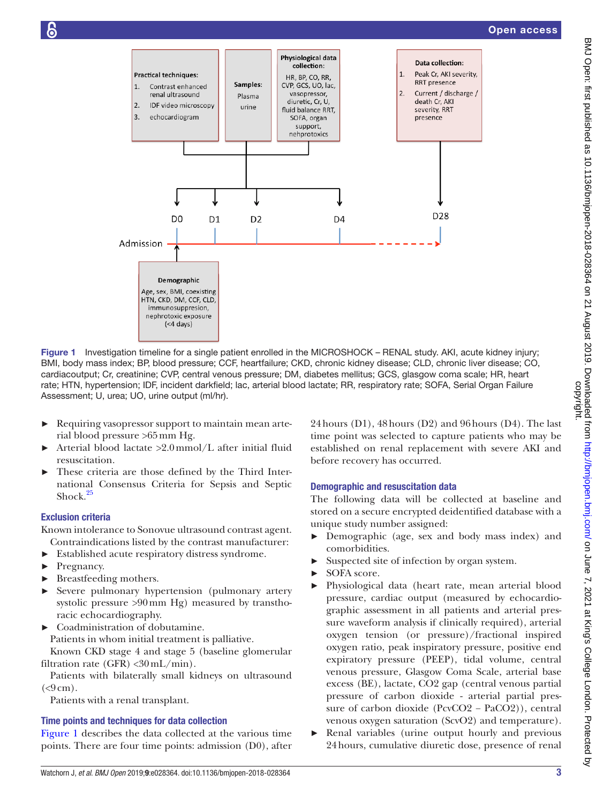

Figure 1 Investigation timeline for a single patient enrolled in the MICROSHOCK – RENAL study. AKI, acute kidney injury; BMI, body mass index; BP, blood pressure; CCF, heartfailure; CKD, chronic kidney disease; CLD, chronic liver disease; CO, cardiacoutput; Cr, creatinine; CVP, central venous pressure; DM, diabetes mellitus; GCS, glasgow coma scale; HR, heart rate; HTN, hypertension; IDF, incident darkfield; lac, arterial blood lactate; RR, respiratory rate; SOFA, Serial Organ Failure Assessment; U, urea; UO, urine output (ml/hr).

- ► Requiring vasopressor support to maintain mean arterial blood pressure >65mm Hg.
- ► Arterial blood lactate >2.0mmol/L after initial fluid resuscitation.
- These criteria are those defined by the Third International Consensus Criteria for Sepsis and Septic Shock. $25$

#### Exclusion criteria

Known intolerance to Sonovue ultrasound contrast agent. Contraindications listed by the contrast manufacturer:

- ► Established acute respiratory distress syndrome.
- ► Pregnancy.
- ► Breastfeeding mothers.
- Severe pulmonary hypertension (pulmonary artery systolic pressure >90mm Hg) measured by transthoracic echocardiography.
- ► Coadministration of dobutamine.
	- Patients in whom initial treatment is palliative.

Known CKD stage 4 and stage 5 (baseline glomerular filtration rate (GFR)  $\langle 30 \text{ mL/min} \rangle$ .

Patients with bilaterally small kidneys on ultrasound  $(< 9 cm)$ .

Patients with a renal transplant.

# Time points and techniques for data collection

[Figure](#page-2-0) 1 describes the data collected at the various time points. There are four time points: admission (D0), after <span id="page-2-0"></span>24hours (D1), 48hours (D2) and 96hours (D4). The last time point was selected to capture patients who may be established on renal replacement with severe AKI and before recovery has occurred.

# Demographic and resuscitation data

The following data will be collected at baseline and stored on a secure encrypted deidentified database with a unique study number assigned:

- ► Demographic (age, sex and body mass index) and comorbidities.
- Suspected site of infection by organ system.
- ► SOFA score.
- ► Physiological data (heart rate, mean arterial blood pressure, cardiac output (measured by echocardiographic assessment in all patients and arterial pressure waveform analysis if clinically required), arterial oxygen tension (or pressure)/fractional inspired oxygen ratio, peak inspiratory pressure, positive end expiratory pressure (PEEP), tidal volume, central venous pressure, Glasgow Coma Scale, arterial base excess (BE), lactate, CO2 gap (central venous partial pressure of carbon dioxide - arterial partial pressure of carbon dioxide (PcvCO2 − PaCO2)), central venous oxygen saturation (ScvO2) and temperature).
- ► Renal variables (urine output hourly and previous 24hours, cumulative diuretic dose, presence of renal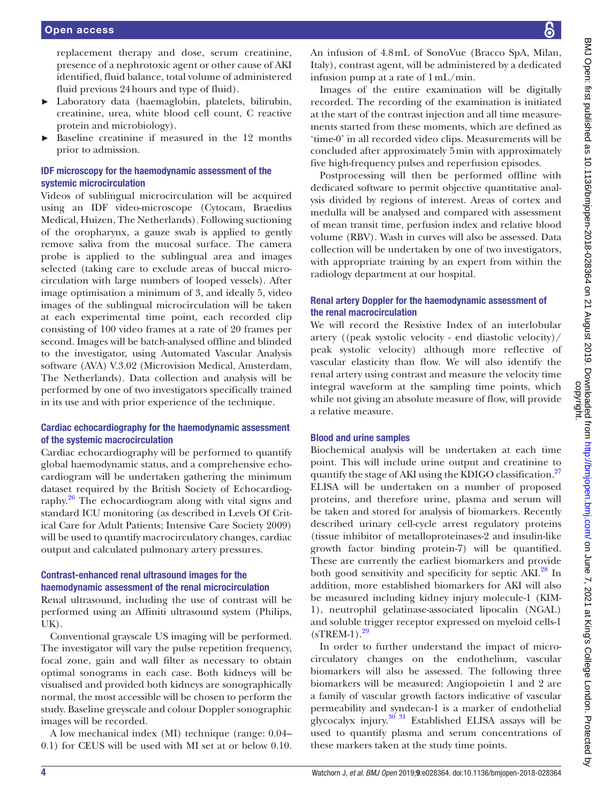replacement therapy and dose, serum creatinine, presence of a nephrotoxic agent or other cause of AKI identified, fluid balance, total volume of administered fluid previous 24hours and type of fluid).

- ► Laboratory data (haemaglobin, platelets, bilirubin, creatinine, urea, white blood cell count, C reactive protein and microbiology).
- Baseline creatinine if measured in the 12 months prior to admission.

# IDF microscopy for the haemodynamic assessment of the systemic microcirculation

Videos of sublingual microcirculation will be acquired using an IDF video-microscope (Cytocam, Braedius Medical, Huizen, The Netherlands). Following suctioning of the oropharynx, a gauze swab is applied to gently remove saliva from the mucosal surface. The camera probe is applied to the sublingual area and images selected (taking care to exclude areas of buccal microcirculation with large numbers of looped vessels). After image optimisation a minimum of 3, and ideally 5, video images of the sublingual microcirculation will be taken at each experimental time point, each recorded clip consisting of 100 video frames at a rate of 20 frames per second. Images will be batch-analysed offline and blinded to the investigator, using Automated Vascular Analysis software (AVA) V.3.02 (Microvision Medical, Amsterdam, The Netherlands). Data collection and analysis will be performed by one of two investigators specifically trained in its use and with prior experience of the technique.

# Cardiac echocardiography for the haemodynamic assessment of the systemic macrocirculation

Cardiac echocardiography will be performed to quantify global haemodynamic status, and a comprehensive echocardiogram will be undertaken gathering the minimum dataset required by the British Society of Echocardiography[.26](#page-6-6) The echocardiogram along with vital signs and standard ICU monitoring (as described in Levels Of Critical Care for Adult Patients; Intensive Care Society 2009) will be used to quantify macrocirculatory changes, cardiac output and calculated pulmonary artery pressures.

# Contrast-enhanced renal ultrasound images for the haemodynamic assessment of the renal microcirculation

Renal ultrasound, including the use of contrast will be performed using an Affiniti ultrasound system (Philips, UK).

Conventional grayscale US imaging will be performed. The investigator will vary the pulse repetition frequency, focal zone, gain and wall filter as necessary to obtain optimal sonograms in each case. Both kidneys will be visualised and provided both kidneys are sonographically normal, the most accessible will be chosen to perform the study. Baseline greyscale and colour Doppler sonographic images will be recorded.

A low mechanical index (MI) technique (range: 0.04– 0.1) for CEUS will be used with MI set at or below 0.10.

An infusion of 4.8mL of SonoVue (Bracco SpA, Milan, Italy), contrast agent, will be administered by a dedicated infusion pump at a rate of 1mL/min.

Images of the entire examination will be digitally recorded. The recording of the examination is initiated at the start of the contrast injection and all time measurements started from these moments, which are defined as 'time-0' in all recorded video clips. Measurements will be concluded after approximately 5min with approximately five high-frequency pulses and reperfusion episodes.

Postprocessing will then be performed offline with dedicated software to permit objective quantitative analysis divided by regions of interest. Areas of cortex and medulla will be analysed and compared with assessment of mean transit time, perfusion index and relative blood volume (RBV). Wash in curves will also be assessed. Data collection will be undertaken by one of two investigators, with appropriate training by an expert from within the radiology department at our hospital.

# Renal artery Doppler for the haemodynamic assessment of the renal macrocirculation

We will record the Resistive Index of an interlobular artery ((peak systolic velocity - end diastolic velocity)/ peak systolic velocity) although more reflective of vascular elasticity than flow. We will also identify the renal artery using contrast and measure the velocity time integral waveform at the sampling time points, which while not giving an absolute measure of flow, will provide a relative measure.

# Blood and urine samples

Biochemical analysis will be undertaken at each time point. This will include urine output and creatinine to quantify the stage of AKI using the KDIGO classification.<sup>[27](#page-6-7)</sup> ELISA will be undertaken on a number of proposed proteins, and therefore urine, plasma and serum will be taken and stored for analysis of biomarkers. Recently described urinary cell-cycle arrest regulatory proteins (tissue inhibitor of metalloproteinases-2 and insulin-like growth factor binding protein-7) will be quantified. These are currently the earliest biomarkers and provide both good sensitivity and specificity for septic AKI.<sup>[28](#page-6-8)</sup> In addition, more established biomarkers for AKI will also be measured including kidney injury molecule-1 (KIM-1), neutrophil gelatinase-associated lipocalin (NGAL) and soluble trigger receptor expressed on myeloid cells-1  $(sTREM-1).^{29}$  $(sTREM-1).^{29}$  $(sTREM-1).^{29}$ 

In order to further understand the impact of microcirculatory changes on the endothelium, vascular biomarkers will also be assessed. The following three biomarkers will be measured: Angiopoietin 1 and 2 are a family of vascular growth factors indicative of vascular permeability and syndecan-1 is a marker of endothelial glycocalyx injury. $30^{31}$  Established ELISA assays will be used to quantify plasma and serum concentrations of these markers taken at the study time points.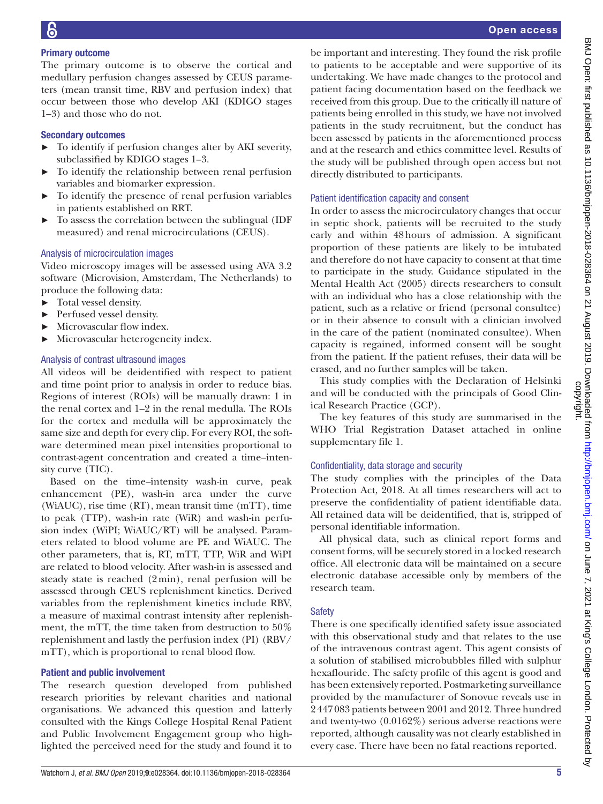# Primary outcome

The primary outcome is to observe the cortical and medullary perfusion changes assessed by CEUS parameters (mean transit time, RBV and perfusion index) that occur between those who develop AKI (KDIGO stages 1–3) and those who do not.

# Secondary outcomes

- ► To identify if perfusion changes alter by AKI severity, subclassified by KDIGO stages 1–3.
- ► To identify the relationship between renal perfusion variables and biomarker expression.
- To identify the presence of renal perfusion variables in patients established on RRT.
- ► To assess the correlation between the sublingual (IDF measured) and renal microcirculations (CEUS).

# Analysis of microcirculation images

Video microscopy images will be assessed using AVA 3.2 software (Microvision, Amsterdam, The Netherlands) to produce the following data:

- ► Total vessel density.
- ► Perfused vessel density.
- Microvascular flow index.
- ► Microvascular heterogeneity index.

# Analysis of contrast ultrasound images

All videos will be deidentified with respect to patient and time point prior to analysis in order to reduce bias. Regions of interest (ROIs) will be manually drawn: 1 in the renal cortex and 1–2 in the renal medulla. The ROIs for the cortex and medulla will be approximately the same size and depth for every clip. For every ROI, the software determined mean pixel intensities proportional to contrast-agent concentration and created a time–intensity curve (TIC).

Based on the time–intensity wash-in curve, peak enhancement (PE), wash-in area under the curve (WiAUC), rise time (RT), mean transit time (mTT), time to peak (TTP), wash-in rate (WiR) and wash-in perfusion index (WiPI; WiAUC/RT) will be analysed. Parameters related to blood volume are PE and WiAUC. The other parameters, that is, RT, mTT, TTP, WiR and WiPI are related to blood velocity. After wash-in is assessed and steady state is reached (2min), renal perfusion will be assessed through CEUS replenishment kinetics. Derived variables from the replenishment kinetics include RBV, a measure of maximal contrast intensity after replenishment, the mTT, the time taken from destruction to 50% replenishment and lastly the perfusion index (PI) (RBV/ mTT), which is proportional to renal blood flow.

# Patient and public involvement

The research question developed from published research priorities by relevant charities and national organisations. We advanced this question and latterly consulted with the Kings College Hospital Renal Patient and Public Involvement Engagement group who highlighted the perceived need for the study and found it to

be important and interesting. They found the risk profile to patients to be acceptable and were supportive of its undertaking. We have made changes to the protocol and patient facing documentation based on the feedback we received from this group. Due to the critically ill nature of patients being enrolled in this study, we have not involved patients in the study recruitment, but the conduct has been assessed by patients in the aforementioned process and at the research and ethics committee level. Results of the study will be published through open access but not directly distributed to participants.

# Patient identification capacity and consent

In order to assess the microcirculatory changes that occur in septic shock, patients will be recruited to the study early and within 48hours of admission. A significant proportion of these patients are likely to be intubated and therefore do not have capacity to consent at that time to participate in the study. Guidance stipulated in the Mental Health Act (2005) directs researchers to consult with an individual who has a close relationship with the patient, such as a relative or friend (personal consultee) or in their absence to consult with a clinician involved in the care of the patient (nominated consultee). When capacity is regained, informed consent will be sought from the patient. If the patient refuses, their data will be erased, and no further samples will be taken.

This study complies with the Declaration of Helsinki and will be conducted with the principals of Good Clinical Research Practice (GCP).

The key features of this study are summarised in the WHO Trial Registration Dataset attached in [online](https://dx.doi.org/10.1136/bmjopen-2018-028364)  [supplementary file 1.](https://dx.doi.org/10.1136/bmjopen-2018-028364)

# Confidentiality, data storage and security

The study complies with the principles of the Data Protection Act, 2018. At all times researchers will act to preserve the confidentiality of patient identifiable data. All retained data will be deidentified, that is, stripped of personal identifiable information.

All physical data, such as clinical report forms and consent forms, will be securely stored in a locked research office. All electronic data will be maintained on a secure electronic database accessible only by members of the research team.

# **Safety**

There is one specifically identified safety issue associated with this observational study and that relates to the use of the intravenous contrast agent. This agent consists of a solution of stabilised microbubbles filled with sulphur hexaflouride. The safety profile of this agent is good and has been extensively reported. Postmarketing surveillance provided by the manufacturer of Sonovue reveals use in 2447083 patients between 2001 and 2012. Three hundred and twenty-two (0.0162%) serious adverse reactions were reported, although causality was not clearly established in every case. There have been no fatal reactions reported.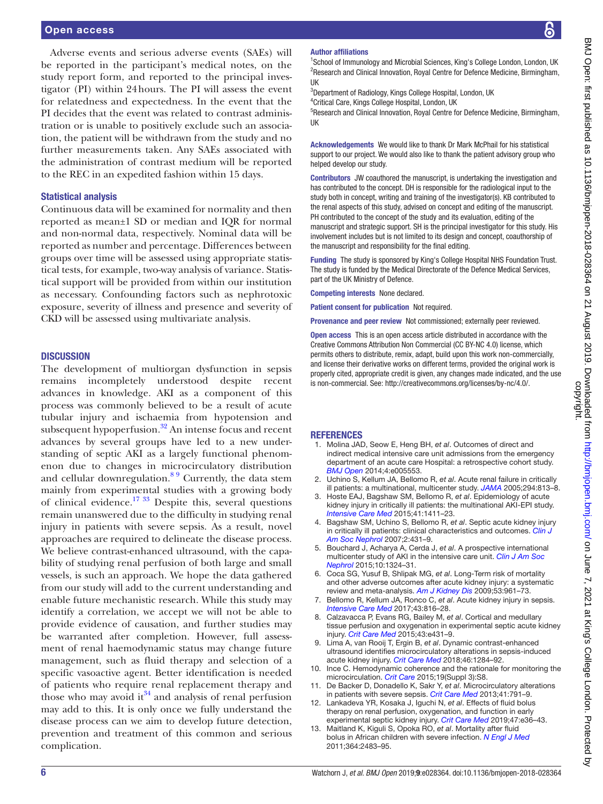#### Open access

Adverse events and serious adverse events (SAEs) will be reported in the participant's medical notes, on the study report form, and reported to the principal investigator (PI) within 24hours. The PI will assess the event for relatedness and expectedness. In the event that the PI decides that the event was related to contrast administration or is unable to positively exclude such an association, the patient will be withdrawn from the study and no further measurements taken. Any SAEs associated with the administration of contrast medium will be reported to the REC in an expedited fashion within 15 days.

#### Statistical analysis

Continuous data will be examined for normality and then reported as mean±1 SD or median and IQR for normal and non-normal data, respectively. Nominal data will be reported as number and percentage. Differences between groups over time will be assessed using appropriate statistical tests, for example, two-way analysis of variance. Statistical support will be provided from within our institution as necessary. Confounding factors such as nephrotoxic exposure, severity of illness and presence and severity of CKD will be assessed using multivariate analysis.

#### **DISCUSSION**

The development of multiorgan dysfunction in sepsis remains incompletely understood despite recent advances in knowledge. AKI as a component of this process was commonly believed to be a result of acute tubular injury and ischaemia from hypotension and subsequent hypoperfusion. $32$  An intense focus and recent advances by several groups have led to a new understanding of septic AKI as a largely functional phenomenon due to changes in microcirculatory distribution and cellular downregulation.<sup>89</sup> Currently, the data stem mainly from experimental studies with a growing body of clinical evidence.<sup>17 33</sup> Despite this, several questions remain unanswered due to the difficulty in studying renal injury in patients with severe sepsis. As a result, novel approaches are required to delineate the disease process. We believe contrast-enhanced ultrasound, with the capability of studying renal perfusion of both large and small vessels, is such an approach. We hope the data gathered from our study will add to the current understanding and enable future mechanistic research. While this study may identify a correlation, we accept we will not be able to provide evidence of causation, and further studies may be warranted after completion. However, full assessment of renal haemodynamic status may change future management, such as fluid therapy and selection of a specific vasoactive agent. Better identification is needed of patients who require renal replacement therapy and those who may avoid it  $34$  and analysis of renal perfusion may add to this. It is only once we fully understand the disease process can we aim to develop future detection, prevention and treatment of this common and serious complication.

#### Author affiliations

<sup>1</sup>School of Immunology and Microbial Sciences, King's College London, London, UK <sup>2</sup>Research and Clinical Innovation, Royal Centre for Defence Medicine, Birmingham, UK

<sup>3</sup>Department of Radiology, Kings College Hospital, London, UK 4 Critical Care, Kings College Hospital, London, UK

<sup>5</sup>Research and Clinical Innovation, Royal Centre for Defence Medicine, Birmingham, UK

Acknowledgements We would like to thank Dr Mark McPhail for his statistical support to our project. We would also like to thank the patient advisory group who helped develop our study.

Contributors JW coauthored the manuscript, is undertaking the investigation and has contributed to the concept. DH is responsible for the radiological input to the study both in concept, writing and training of the investigator(s). KB contributed to the renal aspects of this study, advised on concept and editing of the manuscript. PH contributed to the concept of the study and its evaluation, editing of the manuscript and strategic support. SH is the principal investigator for this study. His involvement includes but is not limited to its design and concept, coauthorship of the manuscript and responsibility for the final editing.

Funding The study is sponsored by King's College Hospital NHS Foundation Trust. The study is funded by the Medical Directorate of the Defence Medical Services, part of the UK Ministry of Defence.

Competing interests None declared.

Patient consent for publication Not required.

Provenance and peer review Not commissioned; externally peer reviewed.

Open access This is an open access article distributed in accordance with the Creative Commons Attribution Non Commercial (CC BY-NC 4.0) license, which permits others to distribute, remix, adapt, build upon this work non-commercially, and license their derivative works on different terms, provided the original work is properly cited, appropriate credit is given, any changes made indicated, and the use is non-commercial. See: [http://creativecommons.org/licenses/by-nc/4.0/.](http://creativecommons.org/licenses/by-nc/4.0/)

#### **REFERENCES**

- <span id="page-5-0"></span>1. Molina JAD, Seow E, Heng BH, *et al*. Outcomes of direct and indirect medical intensive care unit admissions from the emergency department of an acute care Hospital: a retrospective cohort study. *[BMJ Open](http://dx.doi.org/10.1136/bmjopen-2014-005553)* 2014;4:e005553.
- <span id="page-5-1"></span>2. Uchino S, Kellum JA, Bellomo R, *et al*. Acute renal failure in critically ill patients: a multinational, multicenter study. *[JAMA](http://dx.doi.org/10.1001/jama.294.7.813)* 2005;294:813–8.
- 3. Hoste EAJ, Bagshaw SM, Bellomo R, *et al*. Epidemiology of acute kidney injury in critically ill patients: the multinational AKI-EPI study. *[Intensive Care Med](http://dx.doi.org/10.1007/s00134-015-3934-7)* 2015;41:1411–23.
- <span id="page-5-2"></span>4. Bagshaw SM, Uchino S, Bellomo R, *et al*. Septic acute kidney injury in critically ill patients: clinical characteristics and outcomes. *[Clin J](http://dx.doi.org/10.2215/CJN.03681106)  [Am Soc Nephrol](http://dx.doi.org/10.2215/CJN.03681106)* 2007;2:431–9.
- 5. Bouchard J, Acharya A, Cerda J, *et al*. A prospective international multicenter study of AKI in the intensive care unit. *[Clin J Am Soc](http://dx.doi.org/10.2215/CJN.04360514)  [Nephrol](http://dx.doi.org/10.2215/CJN.04360514)* 2015;10:1324–31.
- <span id="page-5-3"></span>6. Coca SG, Yusuf B, Shlipak MG, *et al*. Long-Term risk of mortality and other adverse outcomes after acute kidney injury: a systematic review and meta-analysis. *[Am J Kidney Dis](http://dx.doi.org/10.1053/j.ajkd.2008.11.034)* 2009;53:961–73.
- <span id="page-5-4"></span>7. Bellomo R, Kellum JA, Ronco C, *et al*. Acute kidney injury in sepsis. *[Intensive Care Med](http://dx.doi.org/10.1007/s00134-017-4755-7)* 2017;43:816–28.
- <span id="page-5-5"></span>8. Calzavacca P, Evans RG, Bailey M, *et al*. Cortical and medullary tissue perfusion and oxygenation in experimental septic acute kidney injury. *[Crit Care Med](http://dx.doi.org/10.1097/CCM.0000000000001198)* 2015;43:e431–9.
- 9. Lima A, van Rooij T, Ergin B, *et al*. Dynamic contrast-enhanced ultrasound identifies microcirculatory alterations in sepsis-induced acute kidney injury. *[Crit Care Med](http://dx.doi.org/10.1097/CCM.0000000000003209)* 2018;46:1284–92.
- <span id="page-5-6"></span>10. Ince C. Hemodynamic coherence and the rationale for monitoring the microcirculation. *[Crit Care](http://dx.doi.org/10.1186/cc14726)* 2015;19(Suppl 3):S8.
- <span id="page-5-8"></span>11. De Backer D, Donadello K, Sakr Y, *et al*. Microcirculatory alterations in patients with severe sepsis. *[Crit Care Med](http://dx.doi.org/10.1097/CCM.0b013e3182742e8b)* 2013;41:791–9.
- <span id="page-5-7"></span>12. Lankadeva YR, Kosaka J, Iguchi N, *et al*. Effects of fluid bolus therapy on renal perfusion, oxygenation, and function in early experimental septic kidney injury. *[Crit Care Med](http://dx.doi.org/10.1097/CCM.0000000000003507)* 2019;47:e36–43.
- 13. Maitland K, Kiguli S, Opoka RO, *et al*. Mortality after fluid bolus in African children with severe infection. *[N Engl J Med](http://dx.doi.org/10.1056/NEJMoa1101549)* 2011;364:2483–95.